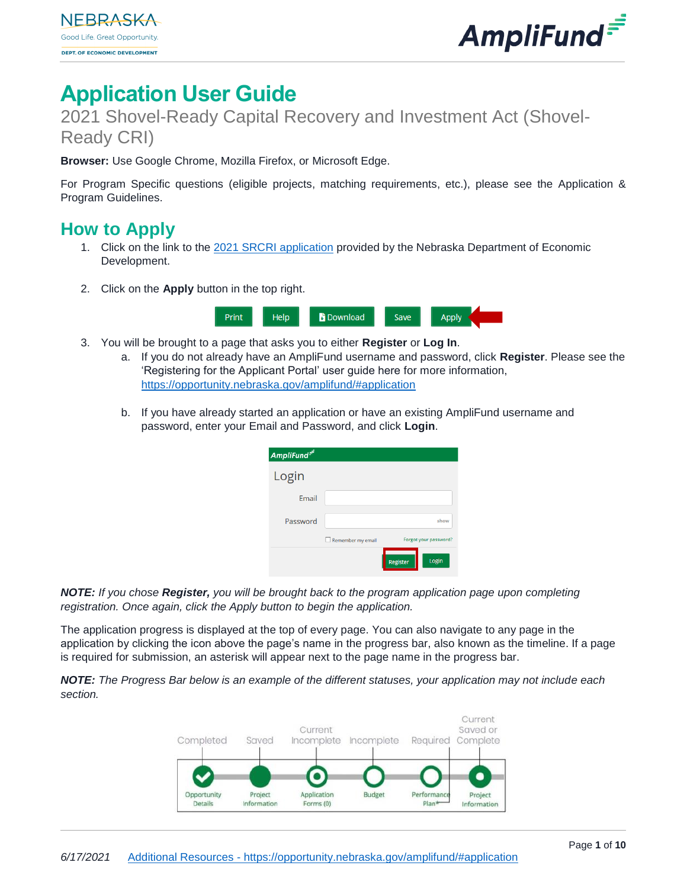

# **Application User Guide**

2021 Shovel-Ready Capital Recovery and Investment Act (Shovel-Ready CRI)

**Browser:** Use Google Chrome, Mozilla Firefox, or Microsoft Edge.

For Program Specific questions (eligible projects, matching requirements, etc.), please see the Application & Program Guidelines.

# **How to Apply**

- 1. Click on the link to the [2021 SRCRI](https://ne.amplifund.com/Public/Opportunities/Details/35cf5307-a3b6-4a8e-938a-7d2025ac30df) application provided by the Nebraska Department of Economic Development.
- 2. Click on the **Apply** button in the top right.



- 3. You will be brought to a page that asks you to either **Register** or **Log In**.
	- a. If you do not already have an AmpliFund username and password, click **Register**. Please see the 'Registering for the Applicant Portal' user guide here for more information, <https://opportunity.nebraska.gov/amplifund/#application>
	- b. If you have already started an application or have an existing AmpliFund username and password, enter your Email and Password, and click **Login**.

| AmpliFund <sup>=</sup> |                   |                       |
|------------------------|-------------------|-----------------------|
|                        |                   |                       |
| Login                  |                   |                       |
| Email                  |                   |                       |
| Password               |                   | show                  |
|                        | Remember my email | Forgot your password? |
|                        |                   | Login<br>Register     |

*NOTE: If you chose Register, you will be brought back to the program application page upon completing registration. Once again, click the Apply button to begin the application.*

The application progress is displayed at the top of every page. You can also navigate to any page in the application by clicking the icon above the page's name in the progress bar, also known as the timeline. If a page is required for submission, an asterisk will appear next to the page name in the progress bar.

*NOTE: The Progress Bar below is an example of the different statuses, your application may not include each section.* 

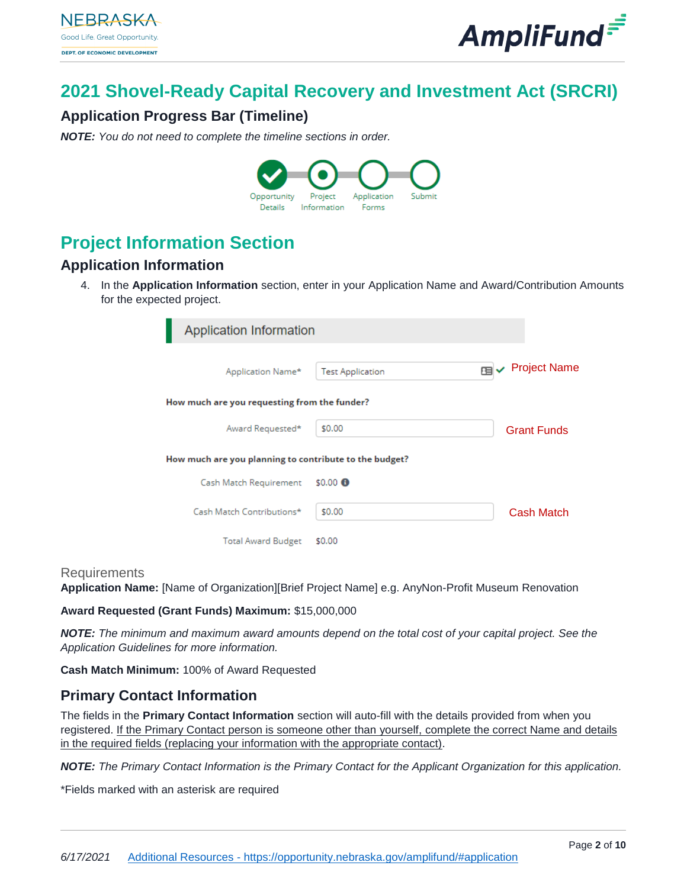

# **2021 Shovel-Ready Capital Recovery and Investment Act (SRCRI)**

## **Application Progress Bar (Timeline)**

*NOTE: You do not need to complete the timeline sections in order.* 



# **Project Information Section**

## **Application Information**

4. In the **Application Information** section, enter in your Application Name and Award/Contribution Amounts for the expected project.

| Application Information                                |                         |                           |
|--------------------------------------------------------|-------------------------|---------------------------|
| Application Name*                                      | <b>Test Application</b> | <b>Project Name</b><br>⊞✔ |
| How much are you requesting from the funder?           |                         |                           |
| Award Requested*                                       | \$0.00                  | <b>Grant Funds</b>        |
| How much are you planning to contribute to the budget? |                         |                           |
| Cash Match Requirement                                 | $$0.00$ $\bullet$       |                           |
| Cash Match Contributions*                              | \$0.00                  | Cash Match                |
| <b>Total Award Budget</b>                              | \$0.00                  |                           |

#### **Requirements**

**Application Name:** [Name of Organization][Brief Project Name] e.g. AnyNon-Profit Museum Renovation

#### **Award Requested (Grant Funds) Maximum:** \$15,000,000

*NOTE: The minimum and maximum award amounts depend on the total cost of your capital project. See the Application Guidelines for more information.*

**Cash Match Minimum:** 100% of Award Requested

## **Primary Contact Information**

The fields in the **Primary Contact Information** section will auto-fill with the details provided from when you registered. If the Primary Contact person is someone other than yourself, complete the correct Name and details in the required fields (replacing your information with the appropriate contact).

*NOTE: The Primary Contact Information is the Primary Contact for the Applicant Organization for this application.* 

\*Fields marked with an asterisk are required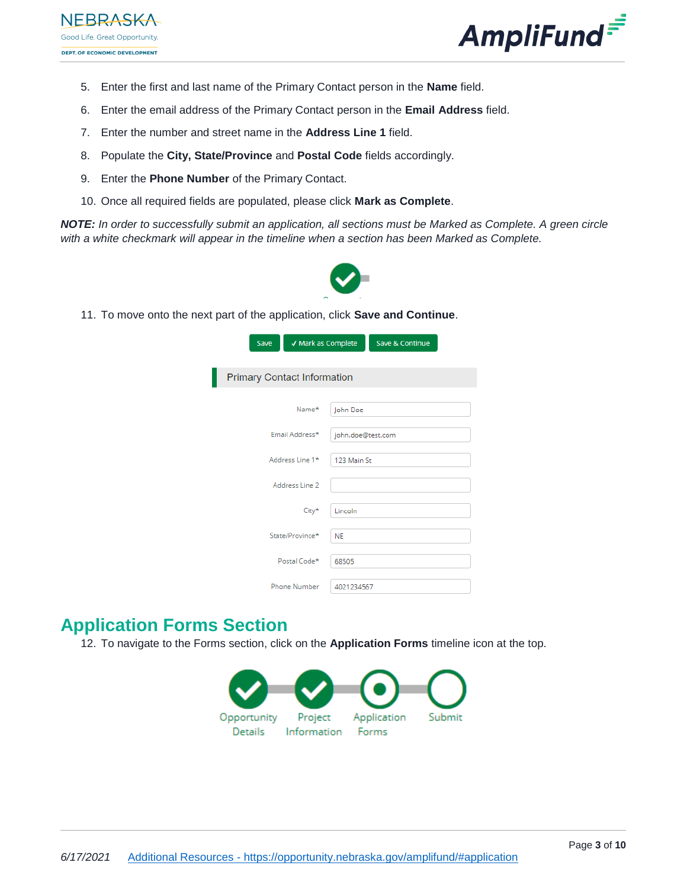



- 5. Enter the first and last name of the Primary Contact person in the **Name** field.
- 6. Enter the email address of the Primary Contact person in the **Email Address** field.
- 7. Enter the number and street name in the **Address Line 1** field.
- 8. Populate the **City, State/Province** and **Postal Code** fields accordingly.
- 9. Enter the **Phone Number** of the Primary Contact.
- 10. Once all required fields are populated, please click **Mark as Complete**.

*NOTE: In order to successfully submit an application, all sections must be Marked as Complete. A green circle with a white checkmark will appear in the timeline when a section has been Marked as Complete.*



11. To move onto the next part of the application, click **Save and Continue**.

| Save<br>√ Mark as Complete         |                   | Save & Continue |  |  |
|------------------------------------|-------------------|-----------------|--|--|
|                                    |                   |                 |  |  |
| <b>Primary Contact Information</b> |                   |                 |  |  |
| Name*                              | John Doe          |                 |  |  |
| Email Address*                     | john.doe@test.com |                 |  |  |
| Address Line 1*                    | 123 Main St       |                 |  |  |
| Address Line 2                     |                   |                 |  |  |
| City*                              | Lincoln           |                 |  |  |
| State/Province*                    | <b>NE</b>         |                 |  |  |
| Postal Code*                       | 68505             |                 |  |  |
| <b>Phone Number</b>                | 4021234567        |                 |  |  |

# **Application Forms Section**

12. To navigate to the Forms section, click on the **Application Forms** timeline icon at the top.

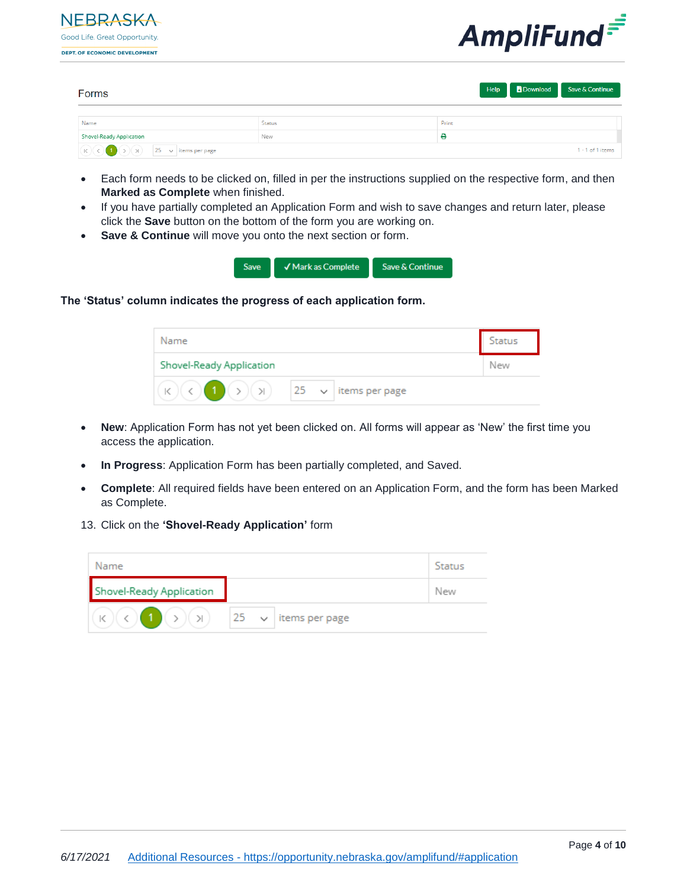



| Forms                                                                                                                                                                                                                                                                                                                                                                                                                                                                                            |               |       | Help Download Save & Continue |
|--------------------------------------------------------------------------------------------------------------------------------------------------------------------------------------------------------------------------------------------------------------------------------------------------------------------------------------------------------------------------------------------------------------------------------------------------------------------------------------------------|---------------|-------|-------------------------------|
|                                                                                                                                                                                                                                                                                                                                                                                                                                                                                                  |               |       |                               |
| Name                                                                                                                                                                                                                                                                                                                                                                                                                                                                                             | <b>Status</b> | Print |                               |
| Shovel-Ready Application                                                                                                                                                                                                                                                                                                                                                                                                                                                                         | New           | е     |                               |
| $\begin{array}{ c c c c }\hline \text{(K)} & \text{(K)} \\\hline \text{(K)} & \text{(K)} \\\hline \text{(K)} & \text{(K)} \\\hline \text{(K)} & \text{(K)} \\\hline \text{(K)} & \text{(K)} \\\hline \text{(K)} & \text{(K)} \\\hline \text{(K)} & \text{(K)} \\\hline \text{(K)} & \text{(K)} \\\hline \text{(K)} & \text{(K)} \\\hline \text{(K)} & \text{(K)} \\\hline \text{(K)} & \text{(K)} \\\hline \text{(K)} & \text{(K)} \\\hline \text{(K)} & \text{(K)} \\\hline \text{(K)} & \text$ |               |       | $1 - 1$ of 1 items            |

- Each form needs to be clicked on, filled in per the instructions supplied on the respective form, and then **Marked as Complete** when finished.
- If you have partially completed an Application Form and wish to save changes and return later, please click the **Save** button on the bottom of the form you are working on.
- **Save & Continue** will move you onto the next section or form.



**The 'Status' column indicates the progress of each application form.** 

| Name                     |  |                | Status |
|--------------------------|--|----------------|--------|
| Shovel-Ready Application |  |                | New    |
| $ (>) ) $ $ 25 \sim$     |  | items per page |        |

- **New**: Application Form has not yet been clicked on. All forms will appear as 'New' the first time you access the application.
- **In Progress**: Application Form has been partially completed, and Saved.
- **Complete**: All required fields have been entered on an Application Form, and the form has been Marked as Complete.
- 13. Click on the **'Shovel-Ready Application'** form

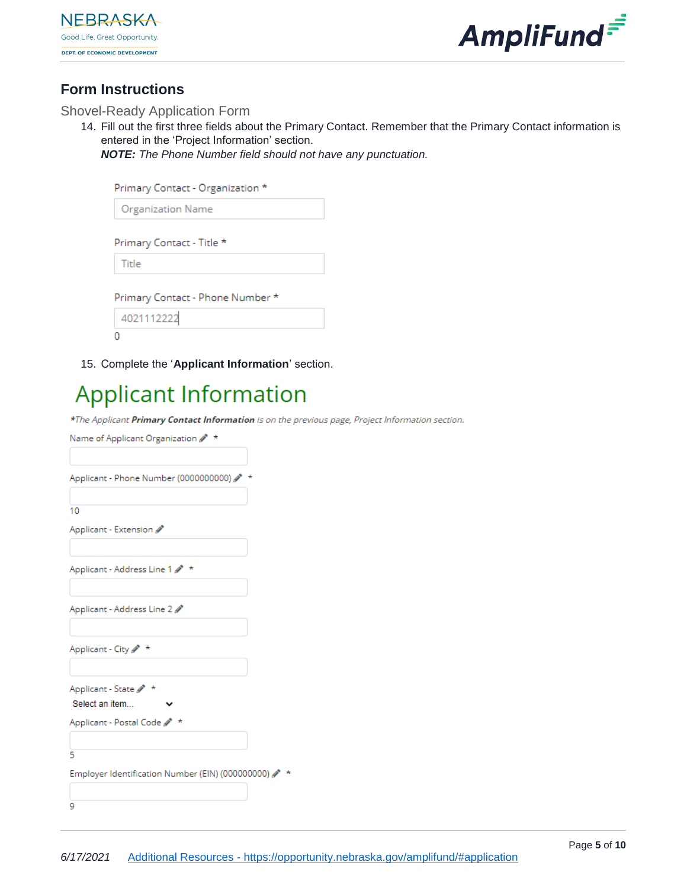



## **Form Instructions**

#### Shovel-Ready Application Form

14. Fill out the first three fields about the Primary Contact. Remember that the Primary Contact information is entered in the 'Project Information' section.

*NOTE: The Phone Number field should not have any punctuation.* 

| Primary Contact - Organization * |
|----------------------------------|
| <b>Organization Name</b>         |
| Primary Contact - Title *        |
| Title                            |
| Primary Contact - Phone Number * |
| 4021112222                       |
|                                  |

15. Complete the '**Applicant Information**' section.

# **Applicant Information**

\*The Applicant Primary Contact Information is on the previous page, Project Information section.

| Name of Applicant Organization 2 *               |  |
|--------------------------------------------------|--|
| Applicant - Phone Number (0000000000)            |  |
| 10                                               |  |
| Applicant - Extension                            |  |
| Applicant - Address Line 1 $\rlap{/}$ *          |  |
| Applicant - Address Line 2                       |  |
| Applicant - City 2 *                             |  |
| Applicant - State 2 *                            |  |
| Select an item                                   |  |
| Applicant - Postal Code 2 *                      |  |
| 5                                                |  |
| Employer Identification Number (EIN) (000000000) |  |
| 9                                                |  |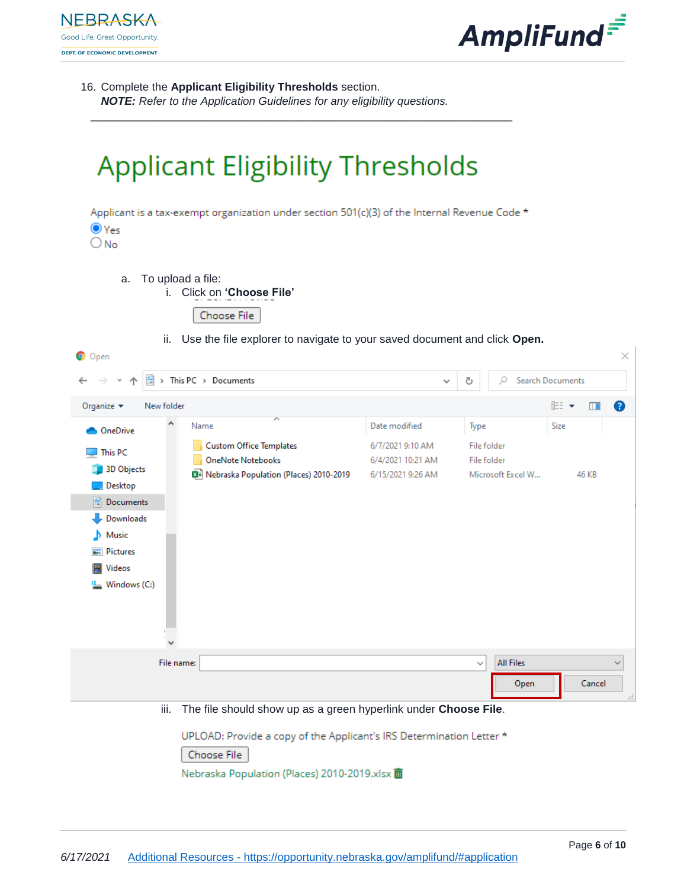



16. Complete the **Applicant Eligibility Thresholds** section.

*NOTE: Refer to the Application Guidelines for any eligibility questions.*

# **Applicant Eligibility Thresholds**

Applicant is a tax-exempt organization under section  $501(c)(3)$  of the Internal Revenue Code \*



- a. To upload a file:
	- i. Click on **'Choose File'**



ii. Use the file explorer to navigate to your saved document and click **Open.**

| <b>O</b> Open                                                                                                                        |                                                                                                                                                                |                                                                             |                                                         | $\times$                             |
|--------------------------------------------------------------------------------------------------------------------------------------|----------------------------------------------------------------------------------------------------------------------------------------------------------------|-----------------------------------------------------------------------------|---------------------------------------------------------|--------------------------------------|
| 葟                                                                                                                                    | > This PC > Documents                                                                                                                                          | $\checkmark$                                                                | Ω<br>Ō                                                  | <b>Search Documents</b>              |
| Organize $\blacktriangledown$<br>New folder                                                                                          |                                                                                                                                                                |                                                                             |                                                         | 距→<br>◙<br>$\blacksquare$            |
| OneDrive<br>This PC<br>3D Objects<br>Desktop<br>曽<br>Documents<br>Downloads<br>Music<br>Pictures<br>$\sim$<br>Videos<br>Windows (C:) | ᄉ<br>Name<br><b>Custom Office Templates</b><br><b>OneNote Notebooks</b><br>图 Nebraska Population (Places) 2010-2019                                            | Date modified<br>6/7/2021 9:10 AM<br>6/4/2021 10:21 AM<br>6/15/2021 9:26 AM | Type<br>File folder<br>File folder<br>Microsoft Excel W | Size<br>46 KB                        |
|                                                                                                                                      | File name:                                                                                                                                                     |                                                                             | <b>All Files</b><br>$\checkmark$                        | ◡                                    |
|                                                                                                                                      |                                                                                                                                                                |                                                                             | Open                                                    | Cancel<br>$\mathcal{A}^{\mathbb{Z}}$ |
|                                                                                                                                      | iii.<br>The file should show up as a green hyperlink under Choose File.<br>UPLOAD: Provide a copy of the Applicant's IRS Determination Letter *<br>Choose File |                                                                             |                                                         |                                      |

Nebraska Population (Places) 2010-2019.xlsx m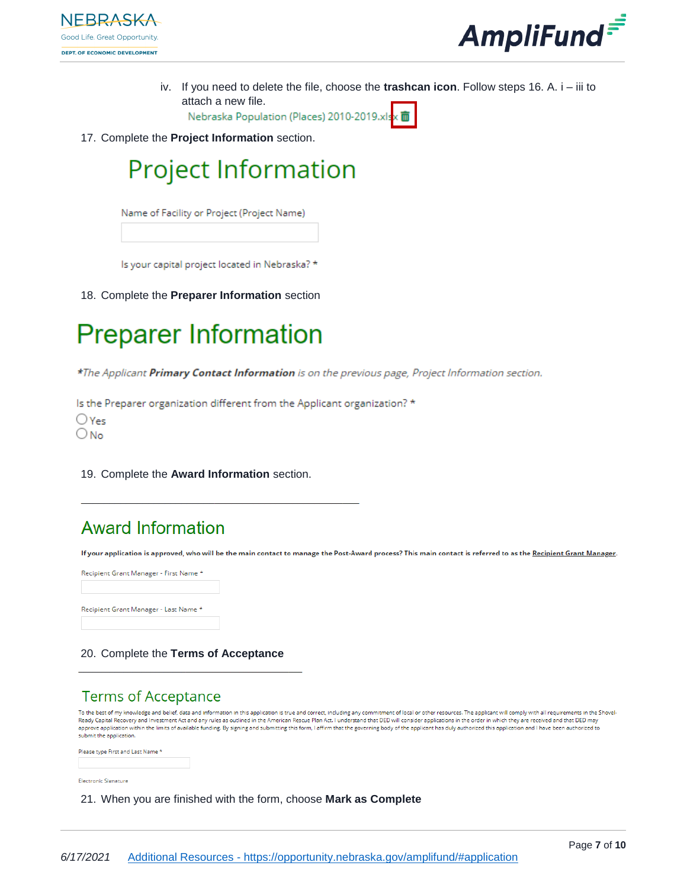



iv. If you need to delete the file, choose the **trashcan icon**. Follow steps 16. A. i – iii to attach a new file.

Nebraska Population (Places) 2010-2019.xlsx 面

17. Complete the **Project Information** section.

# **Project Information**

Name of Facility or Project (Project Name)

Is your capital project located in Nebraska? \*

18. Complete the **Preparer Information** section



\*The Applicant Primary Contact Information is on the previous page, Project Information section.

Is the Preparer organization different from the Applicant organization? \*  $\bigcirc$  Yes  $\bigcirc$  No

19. Complete the **Award Information** section.

# **Award Information**

If your application is approved, who will be the main contact to manage the Post-Award process? This main contact is referred to as the Recipient Grant Manager.

Recipient Grant Manager - First Name \* Recipient Grant Manager - Last Name \*

#### 20. Complete the **Terms of Acceptance**

# **Terms of Acceptance**

To the best of my knowledge and belief, data and information in this application is true and correct, including any commitment of local or other resources. The applicant will comply with all requirements in the Shovel-<br>Rea nero response to the firm of a valiable funding. By signing and submitting this form, I affirm that the governing body of the applicant has duly authorized this application and I have been authorized to application and I h submit the application.



Electronic Signature

21. When you are finished with the form, choose **Mark as Complete**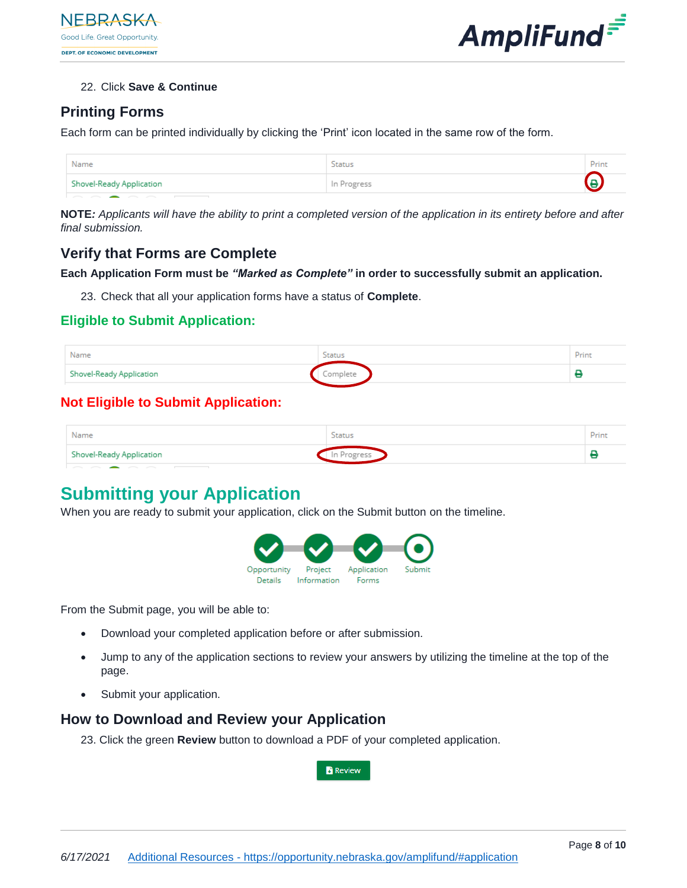

#### 22. Click **Save & Continue**

## **Printing Forms**

Each form can be printed individually by clicking the 'Print' icon located in the same row of the form.

| Name                     | Status      | Print             |
|--------------------------|-------------|-------------------|
| Shovel-Ready Application | In Progress | $\mathbf{\Theta}$ |
|                          |             |                   |

**NOTE***: Applicants will have the ability to print a completed version of the application in its entirety before and after final submission.*

## **Verify that Forms are Complete**

#### **Each Application Form must be** *"Marked as Complete"* **in order to successfully submit an application.**

23. Check that all your application forms have a status of **Complete**.

## **Eligible to Submit Application:**

| Name                     | <b>Status</b> | Print |
|--------------------------|---------------|-------|
| Shovel-Ready Application | Complete      |       |

### **Not Eligible to Submit Application:**

| Name                     | Status   | Print |
|--------------------------|----------|-------|
| Shovel-Ready Application | Progress |       |

# **Submitting your Application**

When you are ready to submit your application, click on the Submit button on the timeline.



From the Submit page, you will be able to:

- Download your completed application before or after submission.
- Jump to any of the application sections to review your answers by utilizing the timeline at the top of the page.
- Submit your application.

## **How to Download and Review your Application**

23. Click the green **Review** button to download a PDF of your completed application.

**Review**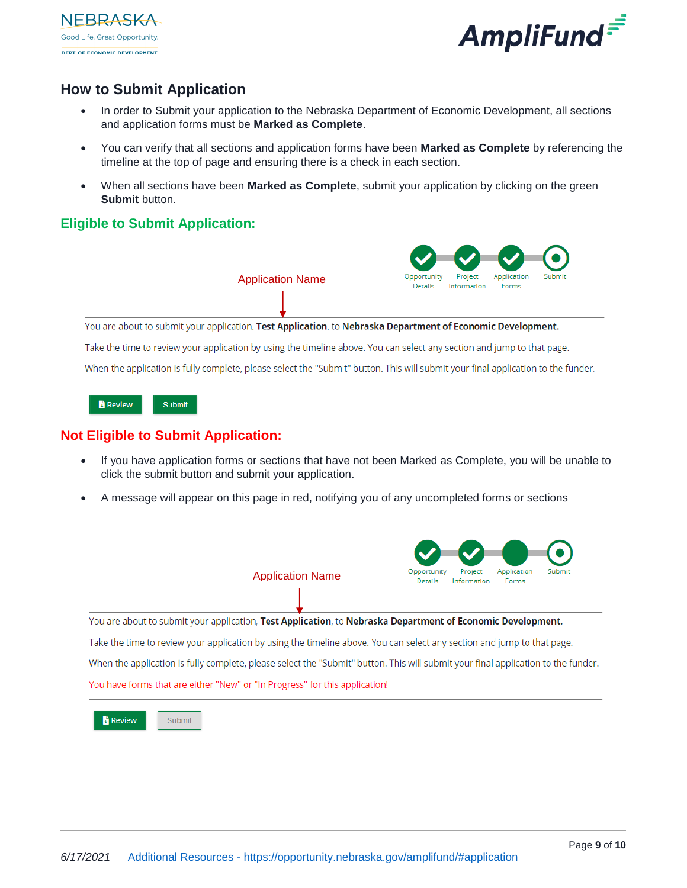



## **How to Submit Application**

- In order to Submit your application to the Nebraska Department of Economic Development, all sections and application forms must be **Marked as Complete**.
- You can verify that all sections and application forms have been **Marked as Complete** by referencing the timeline at the top of page and ensuring there is a check in each section.
- When all sections have been **Marked as Complete**, submit your application by clicking on the green **Submit** button.

#### **Eligible to Submit Application:**



Submit **B** Review

### **Not Eligible to Submit Application:**

- If you have application forms or sections that have not been Marked as Complete, you will be unable to click the submit button and submit your application.
- A message will appear on this page in red, notifying you of any uncompleted forms or sections